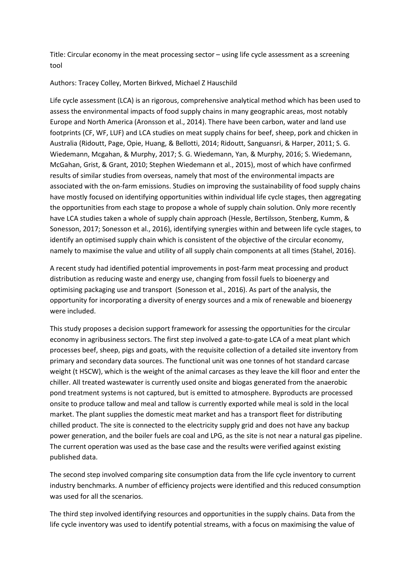Title: Circular economy in the meat processing sector – using life cycle assessment as a screening tool

## Authors: Tracey Colley, Morten Birkved, Michael Z Hauschild

Life cycle assessment (LCA) is an rigorous, comprehensive analytical method which has been used to assess the environmental impacts of food supply chains in many geographic areas, most notably Europe and North America (Aronsson et al., 2014). There have been carbon, water and land use footprints (CF, WF, LUF) and LCA studies on meat supply chains for beef, sheep, pork and chicken in Australia (Ridoutt, Page, Opie, Huang, & Bellotti, 2014; Ridoutt, Sanguansri, & Harper, 2011; S. G. Wiedemann, Mcgahan, & Murphy, 2017; S. G. Wiedemann, Yan, & Murphy, 2016; S. Wiedemann, McGahan, Grist, & Grant, 2010; Stephen Wiedemann et al., 2015), most of which have confirmed results of similar studies from overseas, namely that most of the environmental impacts are associated with the on-farm emissions. Studies on improving the sustainability of food supply chains have mostly focused on identifying opportunities within individual life cycle stages, then aggregating the opportunities from each stage to propose a whole of supply chain solution. Only more recently have LCA studies taken a whole of supply chain approach (Hessle, Bertilsson, Stenberg, Kumm, & Sonesson, 2017; Sonesson et al., 2016), identifying synergies within and between life cycle stages, to identify an optimised supply chain which is consistent of the objective of the circular economy, namely to maximise the value and utility of all supply chain components at all times (Stahel, 2016).

A recent study had identified potential improvements in post-farm meat processing and product distribution as reducing waste and energy use, changing from fossil fuels to bioenergy and optimising packaging use and transport (Sonesson et al., 2016). As part of the analysis, the opportunity for incorporating a diversity of energy sources and a mix of renewable and bioenergy were included.

This study proposes a decision support framework for assessing the opportunities for the circular economy in agribusiness sectors. The first step involved a gate-to-gate LCA of a meat plant which processes beef, sheep, pigs and goats, with the requisite collection of a detailed site inventory from primary and secondary data sources. The functional unit was one tonnes of hot standard carcase weight (t HSCW), which is the weight of the animal carcases as they leave the kill floor and enter the chiller. All treated wastewater is currently used onsite and biogas generated from the anaerobic pond treatment systems is not captured, but is emitted to atmosphere. Byproducts are processed onsite to produce tallow and meal and tallow is currently exported while meal is sold in the local market. The plant supplies the domestic meat market and has a transport fleet for distributing chilled product. The site is connected to the electricity supply grid and does not have any backup power generation, and the boiler fuels are coal and LPG, as the site is not near a natural gas pipeline. The current operation was used as the base case and the results were verified against existing published data.

The second step involved comparing site consumption data from the life cycle inventory to current industry benchmarks. A number of efficiency projects were identified and this reduced consumption was used for all the scenarios.

The third step involved identifying resources and opportunities in the supply chains. Data from the life cycle inventory was used to identify potential streams, with a focus on maximising the value of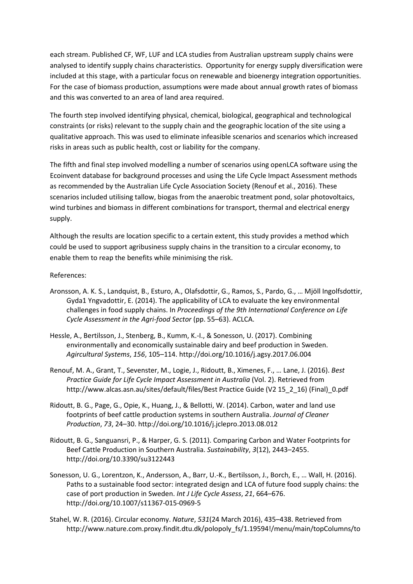each stream. Published CF, WF, LUF and LCA studies from Australian upstream supply chains were analysed to identify supply chains characteristics. Opportunity for energy supply diversification were included at this stage, with a particular focus on renewable and bioenergy integration opportunities. For the case of biomass production, assumptions were made about annual growth rates of biomass and this was converted to an area of land area required.

The fourth step involved identifying physical, chemical, biological, geographical and technological constraints (or risks) relevant to the supply chain and the geographic location of the site using a qualitative approach. This was used to eliminate infeasible scenarios and scenarios which increased risks in areas such as public health, cost or liability for the company.

The fifth and final step involved modelling a number of scenarios using openLCA software using the Ecoinvent database for background processes and using the Life Cycle Impact Assessment methods as recommended by the Australian Life Cycle Association Society (Renouf et al., 2016). These scenarios included utilising tallow, biogas from the anaerobic treatment pond, solar photovoltaics, wind turbines and biomass in different combinations for transport, thermal and electrical energy supply.

Although the results are location specific to a certain extent, this study provides a method which could be used to support agribusiness supply chains in the transition to a circular economy, to enable them to reap the benefits while minimising the risk.

References:

- Aronsson, A. K. S., Landquist, B., Esturo, A., Olafsdottir, G., Ramos, S., Pardo, G., … Mjöll Ingolfsdottir, Gyda1 Yngvadottir, E. (2014). The applicability of LCA to evaluate the key environmental challenges in food supply chains. In *Proceedings of the 9th International Conference on Life Cycle Assessment in the Agri-food Sector* (pp. 55–63). ACLCA.
- Hessle, A., Bertilsson, J., Stenberg, B., Kumm, K.-I., & Sonesson, U. (2017). Combining environmentally and economically sustainable dairy and beef production in Sweden. *Agircultural Systems*, *156*, 105–114. http://doi.org/10.1016/j.agsy.2017.06.004
- Renouf, M. A., Grant, T., Sevenster, M., Logie, J., Ridoutt, B., Ximenes, F., … Lane, J. (2016). *Best Practice Guide for Life Cycle Impact Assessment in Australia* (Vol. 2). Retrieved from http://www.alcas.asn.au/sites/default/files/Best Practice Guide (V2 15\_2\_16) (Final)\_0.pdf
- Ridoutt, B. G., Page, G., Opie, K., Huang, J., & Bellotti, W. (2014). Carbon, water and land use footprints of beef cattle production systems in southern Australia. *Journal of Cleaner Production*, *73*, 24–30. http://doi.org/10.1016/j.jclepro.2013.08.012
- Ridoutt, B. G., Sanguansri, P., & Harper, G. S. (2011). Comparing Carbon and Water Footprints for Beef Cattle Production in Southern Australia. *Sustainability*, *3*(12), 2443–2455. http://doi.org/10.3390/su3122443
- Sonesson, U. G., Lorentzon, K., Andersson, A., Barr, U.-K., Bertilsson, J., Borch, E., … Wall, H. (2016). Paths to a sustainable food sector: integrated design and LCA of future food supply chains: the case of port production in Sweden. *Int J Life Cycle Assess*, *21*, 664–676. http://doi.org/10.1007/s11367-015-0969-5
- Stahel, W. R. (2016). Circular economy. *Nature*, *531*(24 March 2016), 435–438. Retrieved from http://www.nature.com.proxy.findit.dtu.dk/polopoly\_fs/1.19594!/menu/main/topColumns/to